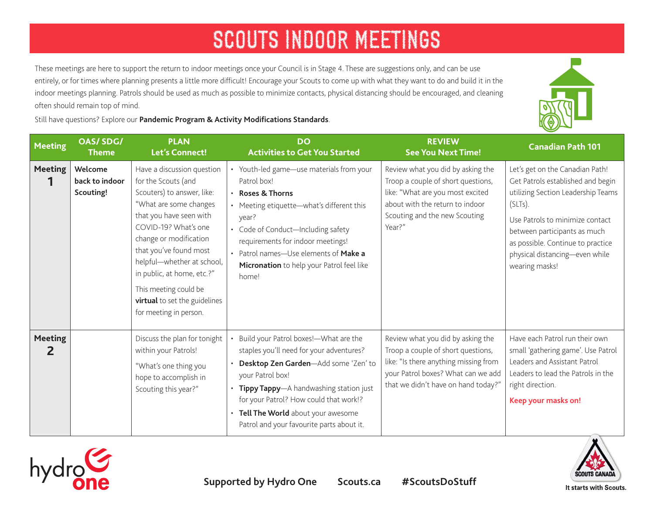These meetings are here to support the return to indoor meetings once your Council is in Stage 4. These are suggestions only, and can be use entirely, or for times where planning presents a little more difficult! Encourage your Scouts to come up with what they want to do and build it in the indoor meetings planning. Patrols should be used as much as possible to minimize contacts, physical distancing should be encouraged, and cleaning often should remain top of mind.

Still have questions? Explore our **[Pandemic Program & Activity Modifications Standards](https://www.scouts.ca/resources/bpp/policies/pandemic-program-and-activity-modifications-stage-4.html)**.

| <b>Meeting</b>      | <b>OAS/SDG/</b><br><b>Theme</b>        | <b>PLAN</b><br>Let's Connect!                                                                                                                                                                                                                                                                                                                                    | <b>DO</b><br><b>Activities to Get You Started</b>                                                                                                                                                                                                                                                                       | <b>REVIEW</b><br><b>See You Next Time!</b>                                                                                                                                                    | <b>Canadian Path 101</b>                                                                                                                                                                                                                                                          |
|---------------------|----------------------------------------|------------------------------------------------------------------------------------------------------------------------------------------------------------------------------------------------------------------------------------------------------------------------------------------------------------------------------------------------------------------|-------------------------------------------------------------------------------------------------------------------------------------------------------------------------------------------------------------------------------------------------------------------------------------------------------------------------|-----------------------------------------------------------------------------------------------------------------------------------------------------------------------------------------------|-----------------------------------------------------------------------------------------------------------------------------------------------------------------------------------------------------------------------------------------------------------------------------------|
| <b>Meeting</b>      | Welcome<br>back to indoor<br>Scouting! | Have a discussion question<br>for the Scouts (and<br>Scouters) to answer, like:<br>"What are some changes<br>that you have seen with<br>COVID-19? What's one<br>change or modification<br>that you've found most<br>helpful-whether at school,<br>in public, at home, etc.?"<br>This meeting could be<br>virtual to set the guidelines<br>for meeting in person. | • Youth-led game-use materials from your<br>Patrol box!<br><b>Roses &amp; Thorns</b><br>• Meeting etiquette-what's different this<br>year?<br>• Code of Conduct-Including safety<br>requirements for indoor meetings!<br>• Patrol names-Use elements of Make a<br>Micronation to help your Patrol feel like<br>home!    | Review what you did by asking the<br>Troop a couple of short questions,<br>like: "What are you most excited<br>about with the return to indoor<br>Scouting and the new Scouting<br>Year?"     | Let's get on the Canadian Path!<br>Get Patrols established and begin<br>utilizing Section Leadership Teams<br>(SLTs).<br>Use Patrols to minimize contact<br>between participants as much<br>as possible. Continue to practice<br>physical distancing-even while<br>wearing masks! |
| <b>Meeting</b><br>2 |                                        | Discuss the plan for tonight<br>within your Patrols!<br>"What's one thing you<br>hope to accomplish in<br>Scouting this year?"                                                                                                                                                                                                                                   | Build your Patrol boxes!-What are the<br>staples you'll need for your adventures?<br>Desktop Zen Garden-Add some 'Zen' to<br>your Patrol box!<br>• Tippy Tappy-A handwashing station just<br>for your Patrol? How could that work!?<br>• Tell The World about your awesome<br>Patrol and your favourite parts about it. | Review what you did by asking the<br>Troop a couple of short questions,<br>like: "Is there anything missing from<br>your Patrol boxes? What can we add<br>that we didn't have on hand today?" | Have each Patrol run their own<br>small 'gathering game'. Use Patrol<br>Leaders and Assistant Patrol<br>Leaders to lead the Patrols in the<br>right direction.<br>Keep your masks on!                                                                                             |





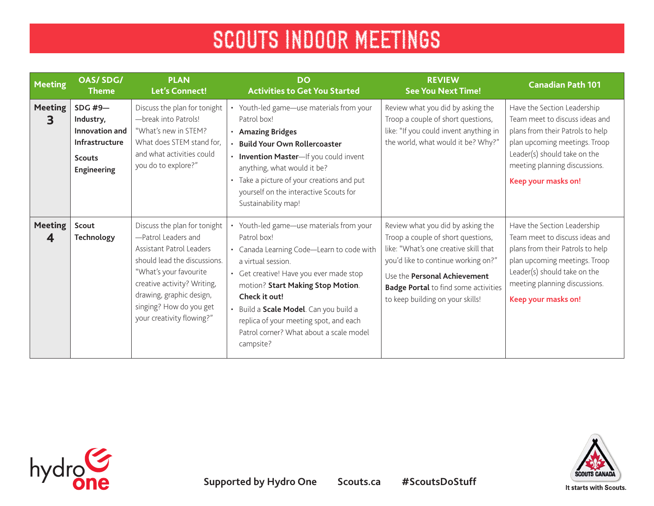| <b>Meeting</b>      | <b>OAS/SDG/</b><br><b>Theme</b>                                                            | <b>PLAN</b><br><b>Let's Connect!</b>                                                                                                                                                                                                                         | <b>DO</b><br><b>Activities to Get You Started</b>                                                                                                                                                                                                                                                                                                                   | <b>REVIEW</b><br><b>See You Next Time!</b>                                                                                                                                                                                                                                 | <b>Canadian Path 101</b>                                                                                                                                                                                                   |
|---------------------|--------------------------------------------------------------------------------------------|--------------------------------------------------------------------------------------------------------------------------------------------------------------------------------------------------------------------------------------------------------------|---------------------------------------------------------------------------------------------------------------------------------------------------------------------------------------------------------------------------------------------------------------------------------------------------------------------------------------------------------------------|----------------------------------------------------------------------------------------------------------------------------------------------------------------------------------------------------------------------------------------------------------------------------|----------------------------------------------------------------------------------------------------------------------------------------------------------------------------------------------------------------------------|
| <b>Meeting</b><br>3 | $SDG$ #9-<br>Industry,<br>Innovation and<br>Infrastructure<br><b>Scouts</b><br>Engineering | Discuss the plan for tonight<br>-break into Patrols!<br>"What's new in STEM?<br>What does STEM stand for,<br>and what activities could<br>you do to explore?"                                                                                                | Youth-led game-use materials from your<br>Patrol box!<br>· Amazing Bridges<br><b>Build Your Own Rollercoaster</b><br>• Invention Master-If you could invent<br>anything, what would it be?<br>Take a picture of your creations and put<br>yourself on the interactive Scouts for<br>Sustainability map!                                                             | Review what you did by asking the<br>Troop a couple of short questions,<br>like: "If you could invent anything in<br>the world, what would it be? Why?"                                                                                                                    | Have the Section Leadership<br>Team meet to discuss ideas and<br>plans from their Patrols to help<br>plan upcoming meetings. Troop<br>Leader(s) should take on the<br>meeting planning discussions.<br>Keep your masks on! |
| <b>Meeting</b><br>4 | Scout<br>Technology                                                                        | Discuss the plan for tonight<br>-Patrol Leaders and<br>Assistant Patrol Leaders<br>should lead the discussions.<br>"What's your favourite<br>creative activity? Writing,<br>drawing, graphic design,<br>singing? How do you get<br>your creativity flowing?" | Youth-led game-use materials from your<br>Patrol box!<br>• Canada Learning Code-Learn to code with<br>a virtual session.<br>• Get creative! Have you ever made stop<br>motion? Start Making Stop Motion.<br>Check it out!<br>Build a Scale Model. Can you build a<br>replica of your meeting spot, and each<br>Patrol corner? What about a scale model<br>campsite? | Review what you did by asking the<br>Troop a couple of short questions,<br>like: "What's one creative skill that<br>you'd like to continue working on?"<br>Use the Personal Achievement<br><b>Badge Portal</b> to find some activities<br>to keep building on your skills! | Have the Section Leadership<br>Team meet to discuss ideas and<br>plans from their Patrols to help<br>plan upcoming meetings. Troop<br>Leader(s) should take on the<br>meeting planning discussions.<br>Keep your masks on! |

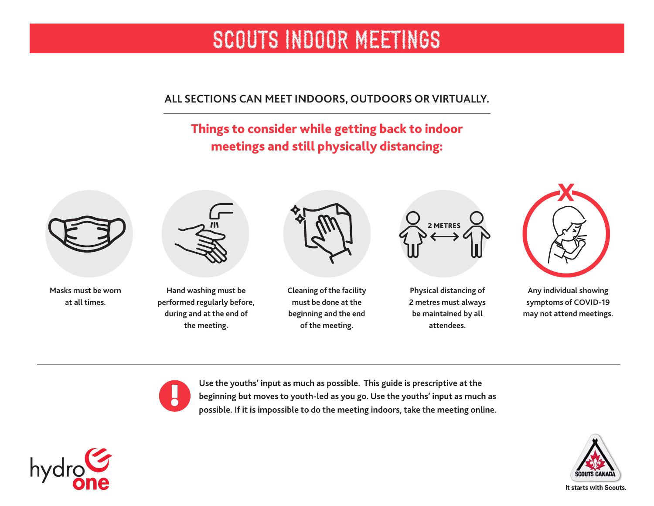**ALL SECTIONS CAN MEET INDOORS, OUTDOORS OR VIRTUALLY.** 

# Things to consider while getting back to indoor meetings and still physically distancing:



**Masks must be worn at all times.** 



**Hand washing must be performed regularly before, during and at the end of the meeting.** 



**Cleaning of the facility must be done at the beginning and the end of the meeting.** 



**Physical distancing of 2 metres must always be maintained by all attendees.** 



**Any individual showing symptoms of COVID-19 may not attend meetings.**

!

**Use the youths' input as much as possible. This guide is prescriptive at the beginning but moves to youth-led as you go. Use the youths' input as much as possible. If it is impossible to do the meeting indoors, take the meeting online.**



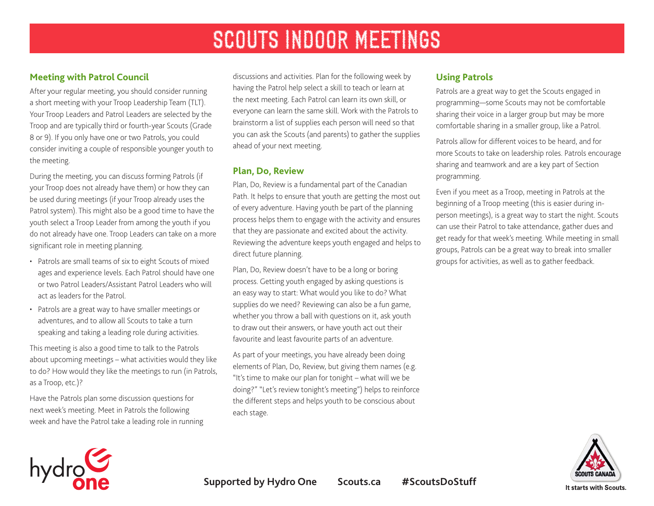### **Meeting with Patrol Council**

After your regular meeting, you should consider running a short meeting with your Troop Leadership Team (TLT). Your Troop Leaders and Patrol Leaders are selected by the Troop and are typically third or fourth-year Scouts (Grade 8 or 9). If you only have one or two Patrols, you could consider inviting a couple of responsible younger youth to the meeting.

During the meeting, you can discuss forming Patrols (if your Troop does not already have them) or how they can be used during meetings (if your Troop already uses the Patrol system). This might also be a good time to have the youth select a Troop Leader from among the youth if you do not already have one. Troop Leaders can take on a more significant role in meeting planning.

- Patrols are small teams of six to eight Scouts of mixed ages and experience levels. Each Patrol should have one or two Patrol Leaders/Assistant Patrol Leaders who will act as leaders for the Patrol.
- Patrols are a great way to have smaller meetings or adventures, and to allow all Scouts to take a turn speaking and taking a leading role during activities.

This meeting is also a good time to talk to the Patrols about upcoming meetings – what activities would they like to do? How would they like the meetings to run (in Patrols, as a Troop, etc.)?

Have the Patrols plan some discussion questions for next week's meeting. Meet in Patrols the following week and have the Patrol take a leading role in running

discussions and activities. Plan for the following week by having the Patrol help select a skill to teach or learn at the next meeting. Each Patrol can learn its own skill, or everyone can learn the same skill. Work with the Patrols to brainstorm a list of supplies each person will need so that you can ask the Scouts (and parents) to gather the supplies ahead of your next meeting.

### **Plan, Do, Review**

Plan, Do, Review is a fundamental part of the Canadian Path. It helps to ensure that youth are getting the most out of every adventure. Having youth be part of the planning process helps them to engage with the activity and ensures that they are passionate and excited about the activity. Reviewing the adventure keeps youth engaged and helps to direct future planning.

Plan, Do, Review doesn't have to be a long or boring process. Getting youth engaged by asking questions is an easy way to start: What would you like to do? What supplies do we need? Reviewing can also be a fun game, whether you throw a ball with questions on it, ask youth to draw out their answers, or have youth act out their favourite and least favourite parts of an adventure.

As part of your meetings, you have already been doing elements of Plan, Do, Review, but giving them names (e.g. "It's time to make our plan for tonight – what will we be doing?" "Let's review tonight's meeting") helps to reinforce the different steps and helps youth to be conscious about each stage.

# **Using Patrols**

Patrols are a great way to get the Scouts engaged in programming—some Scouts may not be comfortable sharing their voice in a larger group but may be more comfortable sharing in a smaller group, like a Patrol.

Patrols allow for different voices to be heard, and for more Scouts to take on leadership roles. Patrols encourage sharing and teamwork and are a key part of Section programming.

Even if you meet as a Troop, meeting in Patrols at the beginning of a Troop meeting (this is easier during inperson meetings), is a great way to start the night. Scouts can use their Patrol to take attendance, gather dues and get ready for that week's meeting. While meeting in small groups, Patrols can be a great way to break into smaller groups for activities, as well as to gather feedback.



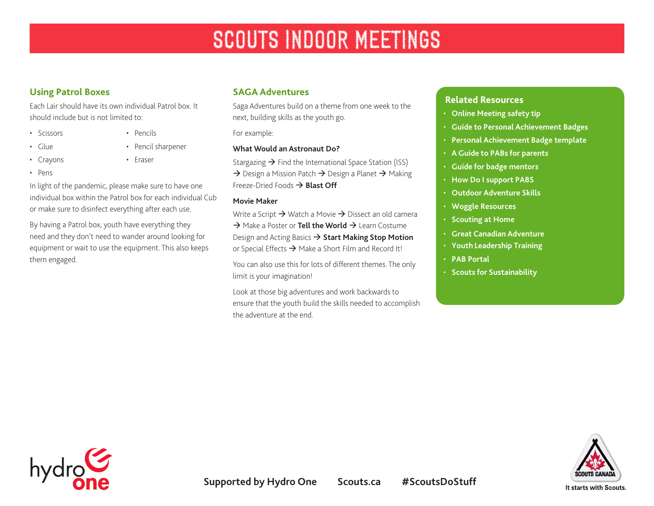# **Using Patrol Boxes**

Each Lair should have its own individual Patrol box. It should include but is not limited to:

- Scissors
- Glue
- Crayons
- Pens
- Pencils
	- Pencil sharpener
	- Eraser

In light of the pandemic, please make sure to have one

individual box within the Patrol box for each individual Cub or make sure to disinfect everything after each use.

By having a Patrol box, youth have everything they need and they don't need to wander around looking for equipment or wait to use the equipment. This also keeps them engaged.

### **SAGA Adventures**

Saga Adventures build on a theme from one week to the next, building skills as the youth go.

For example:

### **[What Would an Astronaut Do?](https://www.scouts.ca/scoutinglife/2020/04/what-would-an-astronaut-do/?scrolled=true)**

Stargazing  $\rightarrow$  Find the International Space Station (ISS)  $\rightarrow$  Design a Mission Patch  $\rightarrow$  Design a Planet  $\rightarrow$  Making Freeze-Dried Foods  $\rightarrow$  **[Blast Off](https://www.scouts.ca/activity-finder/blast-off.html)** 

#### **Movie Maker**

Write a Script  $\rightarrow$  Watch a Movie  $\rightarrow$  Dissect an old camera  $\rightarrow$  Make a Poster or **[Tell the World](https://www.scouts.ca/activity-finder/tell-the-world.html)** → Learn Costume Design and Acting Basics  $\rightarrow$  [Start Making Stop Motion](https://www.scouts.ca/activity-finder/start-making-stop-motion.html) or Special Effects  $\rightarrow$  Make a Short Film and Record It!

You can also use this for lots of different themes. The only limit is your imagination!

Look at those big adventures and work backwards to ensure that the youth build the skills needed to accomplish the adventure at the end.

### **Related Resources**

- **[Online Meeting safety tip](https://scoutsca.s3.amazonaws.com/2020/04/virtual-scouting-safety.pdf)**
- **[Guide to Personal Achievement Badges](https://scoutsca.s3.amazonaws.com/2019/02/s-pab-guide.pdf)**
- **[Personal Achievement Badge template](https://scoutsca.s3.amazonaws.com/2019/02/s-pab-template.pdf)**
- **[A Guide to PABs for parents](https://scoutsca.s3.amazonaws.com/2019/02/guide-to-pab-for-parents.pdf)**
- **[Guide for badge mentors](https://scoutsca.s3.amazonaws.com/2019/01/st-pdr-guide-for-badge-mentors-pab.pdf)**
- **[How Do I support PABS](https://scoutsca.s3.amazonaws.com/2019/01/st28-pdr-how-do-i-support-pa-badges.pdf)**
- **[Outdoor Adventure Skills](https://www.scouts.ca/programs/canadian-path/about/outdoor-adventure-skills.html)**
- **[Woggle Resources](https://www.scouts.ca/news-and-events/newsletter-archives.html)**
- **[Scouting at Home](https://www.scouts.ca/programs/scouting-at-home/overview.html)**
- **[Great Canadian Adventure](https://www.scouts.ca/programs/great-canadian-scouting-adventure/explore.html)**
- **[Youth Leadership Training](https://www.scouts.ca/programs/youth-leadership/overview.html)**
- **[PAB Portal](https://www.scouts.ca/programs/canadian-path/personal-achievement-badges/overview.html)**
- **[Scouts for Sustainability](https://www.scouts.ca/programs/scouts-for-sustainability/overview.html)**



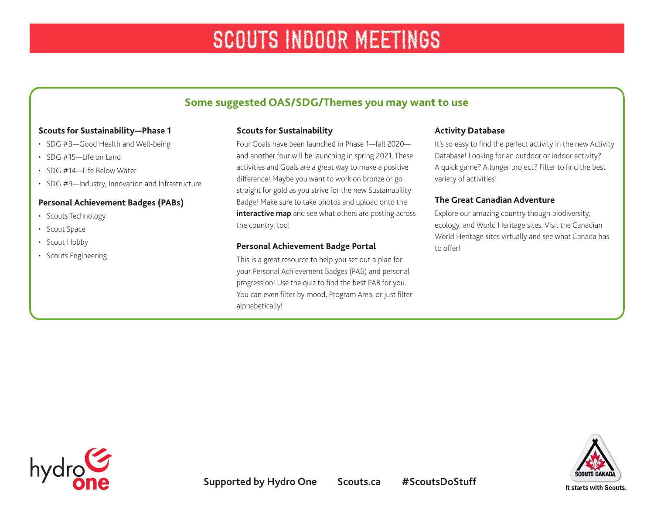# **Some suggested OAS/SDG/Themes you may want to use**

#### **Scouts for Sustainability—Phase 1**

- SDG #3—Good Health and Well-being
- $\cdot$  SDG #15—Life on Land
- SDG #14—Life Below Water
- SDG #9-Industry, Innovation and Infrastructure

### **Personal Achievement Badges (PABs)**

- Scouts Technology
- Scout Space
- Scout Hobby
- Scouts Engineering

#### **Scouts for Sustainability**

Four Goals have been launched in Phase 1—fall 2020 and another four will be launching in spring 2021. These activities and Goals are a great way to make a positive difference! Maybe you want to work on bronze or go straight for gold as you strive for the new Sustainability Badge! Make sure to take photos and upload onto the **[interactive map](https://www.scouts.ca/programs/scouts-for-sustainability/take-action.html?city=Ottawa&prov=ON&page=0&limit=20)** and see what others are posting across the country, too!

#### **Personal Achievement Badge Portal**

This is a great resource to help you set out a plan for your Personal Achievement Badges (PAB) and personal progression! Use the quiz to find the best PAB for you. You can even filter by mood, Program Area, or just filter alphabetically!

#### **Activity Database**

It's so easy to find the perfect activity in the new Activity Database! Looking for an outdoor or indoor activity? A quick game? A longer project? Filter to find the best variety of activities!

### **The Great Canadian Adventure**

Explore our amazing country though biodiversity, ecology, and World Heritage sites. Visit the Canadian World Heritage sites virtually and see what Canada has to offer!



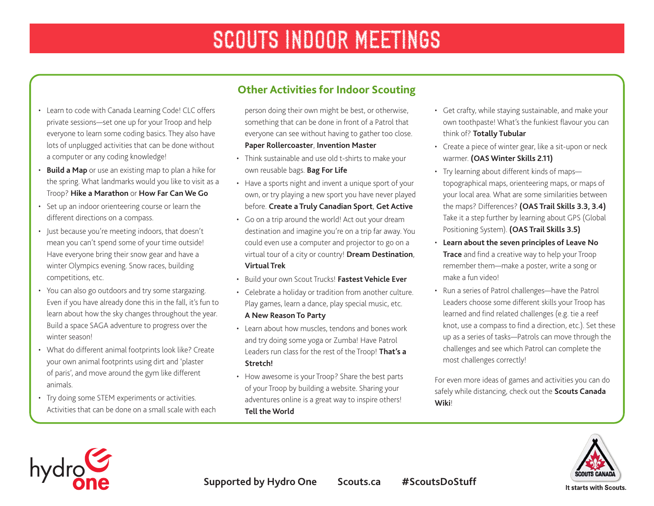- Learn to code with Canada Learning Code! CLC offers private sessions—set one up for your Troop and help everyone to learn some coding basics. They also have lots of unplugged activities that can be done without a computer or any coding knowledge!
- **[Build a Map](https://www.scouts.ca/activity-finder/build-a-map.html)** or use an existing map to plan a hike for the spring. What landmarks would you like to visit as a Troop? **[Hike a Marathon](https://www.scouts.ca/activity-finder/hike-a-marathon.html)** or **[How Far Can We Go](https://www.scouts.ca/activity-finder/how-far-can-we-go.html)**
- Set up an indoor orienteering course or learn the different directions on a compass.
- Just because you're meeting indoors, that doesn't mean you can't spend some of your time outside! Have everyone bring their snow gear and have a winter Olympics evening. Snow races, building competitions, etc.
- You can also go outdoors and try some stargazing. Even if you have already done this in the fall, it's fun to learn about how the sky changes throughout the year. Build a space SAGA adventure to progress over the winter season!
- What do different animal footprints look like? Create your own animal footprints using dirt and 'plaster of paris', and move around the gym like different animals.
- Try doing some STEM experiments or activities. Activities that can be done on a small scale with each

person doing their own might be best, or otherwise, something that can be done in front of a Patrol that everyone can see without having to gather too close. **[Paper Rollercoaster](https://www.scouts.ca/activity-finder/build-your-own-rollercoaster.html)**, **[Invention Master](https://www.scouts.ca/activity-finder/invention-master.html)** 

**Other Activities for Indoor Scouting**

- Think sustainable and use old t-shirts to make your own reusable bags. **[Bag For Life](https://www.scouts.ca/activity-finder/bag-for-life.html)**
- Have a sports night and invent a unique sport of your own, or try playing a new sport you have never played before. **[Create a Truly Canadian Sport](https://www.scouts.ca/activity-finder/create-a-truly-canadian-sport.html)**, **[Get Active](https://www.scouts.ca/activity-finder/get-active.html)**
- Go on a trip around the world! Act out your dream destination and imagine you're on a trip far away. You could even use a computer and projector to go on a virtual tour of a city or country! **[Dream Destination](https://www.scouts.ca/activity-finder/dream-destination.html)**, **[Virtual Trek](https://www.scouts.ca/activity-finder/virtual-trek.html)**
- Build your own Scout Trucks! **[Fastest Vehicle Ever](https://www.scouts.ca/activity-finder/fastest-vehicle-ever.html)**
- Celebrate a holiday or tradition from another culture. Play games, learn a dance, play special music, etc. **[A New Reason To Party](https://www.scouts.ca/activity-finder/a-new-reason-to-party.html)**
- Learn about how muscles, tendons and bones work and try doing some yoga or Zumba! Have Patrol Leaders run class for the rest of the Troop! **[That's a](https://www.scouts.ca/activity-finder/thats-a-stretch.html)  [Stretch!](https://www.scouts.ca/activity-finder/thats-a-stretch.html)**
- How awesome is your Troop? Share the best parts of your Troop by building a website. Sharing your adventures online is a great way to inspire others! **[Tell the World](https://www.scouts.ca/activity-finder/tell-the-world.html)**
- Get crafty, while staying sustainable, and make your own toothpaste! What's the funkiest flavour you can think of? **[Totally Tubular](https://www.scouts.ca/activity-finder/totally-tubular.html)**
- Create a piece of winter gear, like a sit-upon or neck warmer. **[\(OAS Winter Skills 2.11\)](https://scoutsca.s3.amazonaws.com/2019/01/winter-skills-en.pdf)**
- Try learning about different kinds of maps topographical maps, orienteering maps, or maps of your local area. What are some similarities between the maps? Differences? **[\(OAS Trail Skills 3.3, 3.4](https://scoutsca.s3.amazonaws.com/2019/01/trail-skills-en.pdf))**  Take it a step further by learning about GPS (Global Positioning System). **[\(OAS Trail Skills 3.5\)](https://scoutsca.s3.amazonaws.com/2019/01/trail-skills-en.pdf)**
- **[Learn about the seven principles of Leave No](https://www.scouts.ca/resources/program-resources/leave-no-trace.html)  [Trace](https://www.scouts.ca/resources/program-resources/leave-no-trace.html)** and find a creative way to help your Troop remember them—make a poster, write a song or make a fun video!
- Run a series of Patrol challenges—have the Patrol Leaders choose some different skills your Troop has learned and find related challenges (e.g. tie a reef knot, use a compass to find a direction, etc.). Set these up as a series of tasks—Patrols can move through the challenges and see which Patrol can complete the most challenges correctly!

For even more ideas of games and activities you can do safely while distancing, check out the **[Scouts Canada](http://wiki.scouts.ca/en/Physically_Distant_Meetings)  [Wiki](http://wiki.scouts.ca/en/Physically_Distant_Meetings)**!





It starts with Scouts.